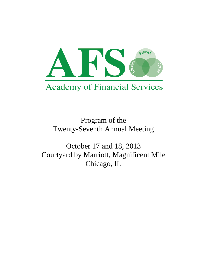

Program of the Twenty-Seventh Annual Meeting

October 17 and 18, 2013 Courtyard by Marriott, Magnificent Mile Chicago, IL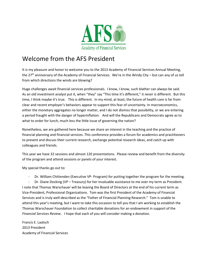

### Welcome from the AFS President

It is my pleasure and honor to welcome you to the 2013 Academy of Financial Services Annual Meeting, the 27<sup>th</sup> anniversary of the Academy of Financial Services. We're in the Windy City – but can any of us tell from which directions the winds are blowing?

Huge challenges await financial services professionals. I know, I know, such blather can always be said. As an old investment analyst put it, when "they" say "This time it's different," it *never is* different. But this time, I think maybe it's true. This is different. In my mind, at least, the future of health care is far from clear and recent employer's behaviors appear to support this fear of uncertainty. In macroeconomics, either the monetary aggregates no longer matter, and I do not dismiss that possibility, or we are entering a period fraught with the danger of hyperinflation. And will the Republicans and Democrats agree as to what to order for lunch, much less the little issue of governing the nation?

Nonetheless, we are gathered here because we share an interest in the teaching and the practice of financial planning and financial services. This conference provides a forum for academics and practitioners to present and discuss their current research, exchange potential research ideas, and catch up with colleagues and friends.

This year we have 32 sessions and almost 120 presentations. Please review and benefit from the diversity of the program and attend sessions or panels of your interest.

My special thanks go out to:

Dr. William Chittenden (Executive VP- Program) for putting together the program for the meeting.

- Dr. Diane Docking (VP – Treasury) for her invaluable assistance to me over my term as President. I note that Thomas Warschauer will be leaving the Board of Directors at the end of his current term as Vice-President, Professional Organizations. Tom was the first President of the Academy of Financial Services and is truly well-described as the "Father of Financial Planning Research." Tom is unable to attend this year's meeting, but I want to take this occasion to tell you that I am working to establish the Thomas Warschauer Foundation to collect charitable donations for an endowment in support of the *Financial Services Review*. I hope that each of you will consider making a donation.

Francis E. Laatsch 2013 President Academy of Financial Services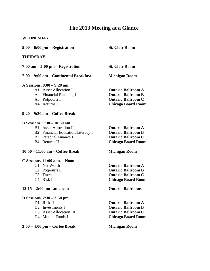### **The 2013 Meeting at a Glance**

### **WEDNESDAY**

| $5:00 - 6:00$ pm – Registration                                                                                                                           | <b>St. Clair Room</b>                                                                                            |
|-----------------------------------------------------------------------------------------------------------------------------------------------------------|------------------------------------------------------------------------------------------------------------------|
| <b>THURSDAY</b>                                                                                                                                           |                                                                                                                  |
| $7:00$ am $-5:00$ pm $-$ Registration                                                                                                                     | <b>St. Clair Room</b>                                                                                            |
| 7:00 – 9:00 am – Continental Breakfast                                                                                                                    | <b>Michigan Room</b>                                                                                             |
| A Sessions, 8:00 – 9:20 am<br>A1 Asset Allocation I<br>A2 Financial Planning I<br>A3 Potpourri I<br>A4 Returns I                                          | <b>Ontario Ballroom A</b><br><b>Ontario Ballroom B</b><br><b>Ontario Ballroom C</b><br><b>Chicago Board Room</b> |
| $9:20 - 9:30$ am - Coffee Break                                                                                                                           |                                                                                                                  |
| B Sessions, $9:30 - 10:50$ am<br><b>B1</b> Asset Allocation II<br>B2 Financial Education/Literacy I<br>B <sub>3</sub> Personal Finance I<br>B4 Returns II | <b>Ontario Ballroom A</b><br><b>Ontario Ballroom B</b><br><b>Ontario Ballroom C</b><br><b>Chicago Board Room</b> |
| 10:50 – 11:00 am – Coffee Break                                                                                                                           | <b>Michigan Room</b>                                                                                             |
| $C$ Sessions, 11:00 a.m. $-$ Noon<br>C1 Net Worth<br>C <sub>2</sub> Potpourri II<br>C <sub>3</sub> Taxes<br>C <sub>4</sub> Risk I                         | <b>Ontario Ballroom A</b><br><b>Ontario Ballroom B</b><br><b>Ontario Ballroom C</b><br><b>Chicago Board Room</b> |
| $12:15 - 2:00$ pm Luncheon                                                                                                                                | <b>Ontario Ballrooms</b>                                                                                         |
| D Sessions, $2:30 - 3:50$ pm<br>D1 Risk II<br>D2<br>Investments I<br>D3 Asset Allocation III<br>D <sub>4</sub> Mutual Funds I                             | <b>Ontario Ballroom A</b><br><b>Ontario Ballroom B</b><br><b>Ontario Ballroom C</b><br><b>Chicago Board Room</b> |
| $3:50 - 4:00$ pm - Coffee Break                                                                                                                           | <b>Michigan Room</b>                                                                                             |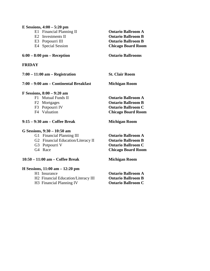| E Sessions, $4:00 - 5:20$ pm           |                           |
|----------------------------------------|---------------------------|
| E1 Financial Planning II               | <b>Ontario Ballroom A</b> |
| E2 Investments II                      | <b>Ontario Ballroom B</b> |
| E3 Potpourri III                       | <b>Ontario Ballroom B</b> |
|                                        |                           |
| E4 Special Session                     | <b>Chicago Board Room</b> |
| $6:00 - 8:00$ pm – Reception           | <b>Ontario Ballrooms</b>  |
| FRIDAY                                 |                           |
| $7:00 - 11:00$ am $-$ Registration     | <b>St. Clair Room</b>     |
| 7:00 - 9:00 am - Continental Breakfast | <b>Michigan Room</b>      |
| F Sessions, 8:00 – 9:20 am             |                           |
| F1 Mutual Funds II                     | <b>Ontario Ballroom A</b> |
| F2 Mortgages                           | <b>Ontario Ballroom B</b> |
| F3 Potpourri IV                        | <b>Ontario Ballroom C</b> |
| F4 Valuation                           | <b>Chicago Board Room</b> |
| 9:15 – 9:30 am – Coffee Break          | <b>Michigan Room</b>      |
| G Sessions, 9:30 - 10:50 am            |                           |
| G1 Financial Planning III              | <b>Ontario Ballroom A</b> |
| G2 Financial Education/Literacy II     | <b>Ontario Ballroom B</b> |
| G3 Potpourri V                         | <b>Ontario Ballroom C</b> |
| G4 Race                                | <b>Chicago Board Room</b> |
| 10:50 - 11:00 am - Coffee Break        | <b>Michigan Room</b>      |
| H Sessions, 11:00 am - 12:20 pm        |                           |
| H <sub>1</sub> Insurance               | <b>Ontario Ballroom A</b> |
| H2 Financial Education/Literacy III    | <b>Ontario Ballroom B</b> |

H3 Financial Planning IV **Ontario Ballroom C**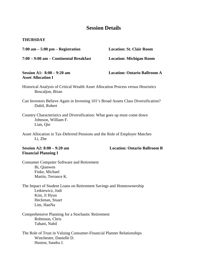### **Session Details**

#### **THURSDAY**

| $7:00$ am $-5:00$ pm $-$ Registration                                                                                                    | <b>Location: St. Clair Room</b>     |
|------------------------------------------------------------------------------------------------------------------------------------------|-------------------------------------|
| 7:00 - 9:00 am - Continental Breakfast                                                                                                   | <b>Location: Michigan Room</b>      |
| Session A1: $8:00 - 9:20$ am<br><b>Asset Allocation I</b>                                                                                | <b>Location: Ontario Ballroom A</b> |
| Historical Analysis of Critical Wealth Asset Allocation Process versus Heuristics<br>Boscaljon, Brian                                    |                                     |
| Can Investors Believe Again in Investing 101's Broad Assets Class Diversification?<br>Dubil, Robert                                      |                                     |
| Country Characteristics and Diversification: What goes up must come down<br>Johnson, William F.<br>Lian, Qin                             |                                     |
| Asset Allocation in Tax-Deferred Pensions and the Role of Employer Matches<br>Li, Zhe                                                    |                                     |
| Session A2: $8:00 - 9:20$ am<br><b>Financial Planning I</b>                                                                              | <b>Location: Ontario Ballroom B</b> |
| <b>Consumer Computer Software and Retirement</b><br>Bi, Qianwen<br>Finke, Michael<br>Martin, Terrance K.                                 |                                     |
| The Impact of Student Loans on Retirement Savings and Homeownership<br>Letkiewicz, Jodi<br>Kim, Ji Hyun<br>Heckman, Stuart<br>Lim, HanNa |                                     |
|                                                                                                                                          |                                     |

- Comprehensive Planning for a Stochastic Retirement Robinson, Chris Tahani, Nabil
- The Role of Trust in Valuing Consumer-Financial Planner Relationships Winchester, Danielle D. Huston, Sandra J.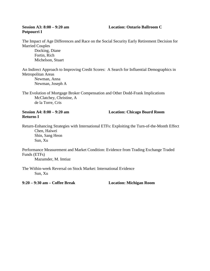## **Potpourri I**

#### **Session A3: 8:00 – 9:20 am Location: Ontario Ballroom C**

The Impact of Age Differences and Race on the Social Security Early Retirement Decision for Married Couples

Docking, Diane Fortin, Rich Michelson, Stuart

An Indirect Approach to Improving Credit Scores: A Search for Influential Demographics in Metropolitan Areas Newman, Anna

Newman, Joseph A

The Evolution of Mortgage Broker Compensation and Other Dodd-Frank Implications McClatchey, Christine, A de la Torre, Cris

### **Returns I**

**Session A4: 8:00 – 9:20 am Location: Chicago Board Room**

Return-Enhancing Strategies with International ETFs: Exploiting the Turn-of-the-Month Effect Chen, Haiwei Shin, Sang Heon Sun, Xu

Performance Measurement and Market Condition: Evidence from Trading Exchange Traded Funds (ETFs)

Mazumder, M. Imtiaz

The Within-week Reversal on Stock Market: International Evidence Sun, Xu

**9:20 – 9:30 am – Coffee Break Location: Michigan Room**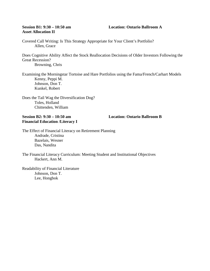### **Asset Allocation II**

Covered Call Writing: Is This Strategy Appropriate for Your Client's Portfolio? Allen, Grace

Does Cognitive Ability Affect the Stock Reallocation Decisions of Older Investors Following the Great Recession?

Browning, Chris

Examining the Morningstar Tortoise and Hare Portfolios using the Fama/French/Carhart Models Kenny, Peppi M. Johnson, Don T. Kunkel, Robert

Does the Tail Wag the Diversification Dog? Toles, Holland Chittenden, William

#### **Session B2: 9:30 – 10:50 am Location: Ontario Ballroom B Financial Education /Literacy I**

The Effect of Financial Literacy on Retirement Planning Andrade, Cristina Bazelais, Wesner Das, Nandita

The Financial Literacy Curriculum: Meeting Student and Institutional Objectives Hackert, Ann M.

Readability of Financial Literature Johnson, Don T. Lee, Hongbok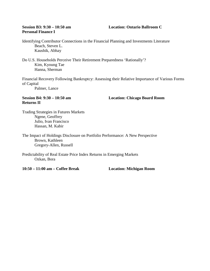### **Personal Finance I**

#### **Session B3: 9:30 – 10:50 am Location: Ontario Ballroom C**

Identifying Contributor Connections in the Financial Planning and Investments Literature Beach, Steven L. Kaushik, Abhay

Do U.S. Households Perceive Their Retirement Preparedness 'Rationally'? Kim, Kyoung Tae Hanna, Sherman

Financial Recovery Following Bankruptcy: Assessing their Relative Importance of Various Forms of Capital

Palmer, Lance

### **Returns II**

**Session B4: 9:30 – 10:50 am Location: Chicago Board Room**

Trading Strategies in Futures Markets Ngene, Geoffrey Julio, Ivan Francisco Hassan, M. Kabir

The Impact of Holdings Disclosure on Portfolio Performance: A New Perspective Brown, Kathleen Gregory-Allen, Russell

Predictability of Real Estate Price Index Returns in Emerging Markets Ozkan, Bora

**10:50 – 11:00 am – Coffee Break Location: Michigan Room**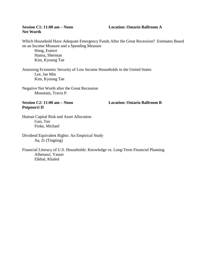### **Net Worth**

#### **Session C1: 11:00 am – Noon Location: Ontario Ballroom A**

Which Household Have Adequate Emergency Funds After the Great Recession? Estimates Based on an Income Measure and a Spending Measure

Hong, Eunice Hanna, Sherman Kim, Kyoung Tae

Assessing Economic Security of Low Income Households in the United States Lee, Jae Min Kim, Kyoung Tae

Negative Net Worth after the Great Recession Mountain, Travis P.

### **Potpourri II**

**Session C2: 11:00 am – Noon Location: Ontario Ballroom B**

Human Capital Risk and Asset Allocation Guo, Tao Finke, Michael

Dividend Equivalent Rights: An Empirical Study Jia, Zi (Tingting)

Financial Literacy of U.S. Households: Knowledge vs. Long-Term Financial Planning Alhenawi, Yasser Elkhal, Khaled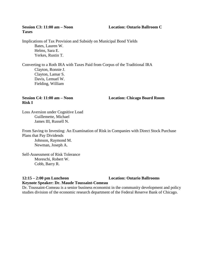### **Session C3: 11:00 am – Noon Location: Ontario Ballroom C**

# **Taxes**

Implications of Tax Provision and Subsidy on Municipal Bond Yields Bates, Lauren W. Helms, Sara E. Yerkes, Rustin T.

Converting to a Roth IRA with Taxes Paid from Corpus of the Traditional IRA Clayton, Ronnie J. Clayton, Lamar S. Davis, Lemuel W. Fielding, William

## **Risk I**

**Session C4: 11:00 am – Noon Location: Chicago Board Room**

Loss Aversion under Cognitive Load Guillemette, Michael James III, Russell N.

From Saving to Investing: An Examination of Risk in Companies with Direct Stock Purchase Plans that Pay Dividends Johnson, Raymond M. Newman, Joseph A.

Self-Assessment of Risk Tolerance Moreschi, Robert W. Cobb, Barry R.

#### **12:15 – 2:00 pm Luncheon Location: Ontario Ballrooms Keynote Speaker: Dr. Maude Toussaint-Comeau**

Dr. Toussaint-Comeau is a senior business economist in the community development and policy studies division of the economic research department of the Federal Reserve Bank of Chicago.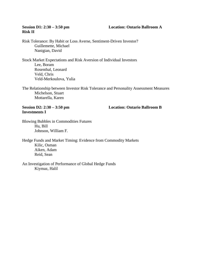#### **Session D1: 2:30 – 3:50 pm Location: Ontario Ballroom A**

# **Risk II**

Risk Tolerance: By Habit or Loss Averse, Sentiment-Driven Investor? Guillemette, Michael Nanigian, David

Stock Market Expectations and Risk Aversion of Individual Investors Lee, Boram Rosenthal, Leonard Veld, Chris Veld-Merkoulova, Yulia

The Relationship between Investor Risk Tolerance and Personality Assessment Measures Michelson, Stuart Mottarella, Karen

**Investments I**

**Session D2: 2:30 – 3:50 pm Location: Ontario Ballroom B**

Blowing Bubbles in Commodities Futures Hu, Bill Johnson, William F.

Hedge Funds and Market Timing: Evidence from Commodity Markets Kilic, Osman Aiken, Adam Reid, Sean

An Investigation of Performance of Global Hedge Funds Kiymaz, Halil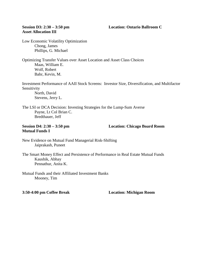#### **Session D3: 2:30 – 3:50 pm Location: Ontario Ballroom C**

### **Asset Allocation III**

Low Economic Volatility Optimization Chong, James Phillips, G. Michael

Optimizing Transfer Values over Asset Location and Asset Class Choices Maas, William E. Wolf, Robert Bahr, Kevin, M.

Investment Performance of AAII Stock Screens: Investor Size, Diversification, and Multifactor Sensitivity

North, David Stevens, Jerry L.

The LSI or DCA Decision: Investing Strategies for the Lump-Sum Averse Payne, Lt Col Brian C. Bredthauer, Jeff

### **Mutual Funds I**

**Session D4: 2:30 – 3:50 pm Location: Chicago Board Room**

New Evidence on Mutual Fund Managerial Risk-Shifting Jaiprakash, Puneet

The Smart Money Effect and Persistence of Performance in Real Estate Mutual Funds Kaushik, Abhay Pennathur, Anita K.

Mutual Funds and their Affiliated Investment Banks Mooney, Tim

**3:50-4:00 pm Coffee Break Location: Michigan Room**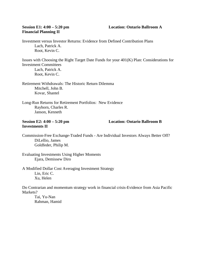## **Financial Planning II**

#### **Session E1: 4:00 – 5:20 pm Location: Ontario Ballroom A**

Investment versus Investor Returns: Evidence from Defined Contribution Plans Lach, Patrick A. Root, Kevin C.

Issues with Choosing the Right Target Date Funds for your 401(K) Plan: Considerations for Investment Committees Lach, Patrick A. Root, Kevin C.

Retirement Withdrawals: The Historic Return Dilemma Mitchell, John B. Kovar, Shantel

Long-Run Returns for Retirement Portfolios: New Evidence Rayhorn, Charles R. Janson, Kenneth

### **Investments II**

#### **Session E2: 4:00 – 5:20 pm Location: Ontario Ballroom B**

Commission-Free Exchange-Traded Funds - Are Individual Investors Always Better Off? DiLellio, James Goldfeder, Philip M.

Evaluating Investments Using Higher Moments Ejara, Demissew Diro

A Modified Dollar Cost Averaging Investment Strategy Lin, Eric C. Xu, Helen

Do Contrarian and momentum strategy work in financial crisis-Evidence from Asia Pacific Markets?

Tai, Yu-Nan Rahman, Hamid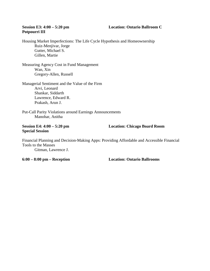### **Session E3: 4:00 – 5:20 pm Location: Ontario Ballroom C**

## **Potpourri III**

Housing Market Imperfections: The Life Cycle Hypothesis and Homeownership Ruiz-Menjivar, Jorge Gutter, Michael S. Gillen, Martie

Measuring Agency Cost in Fund Management Wan, Xin Gregory-Allen, Russell

Managerial Sentiment and the Value of the Firm Arvi, Leonard Shankar, Siddarth Lawrence, Edward R. Prakash, Arun J.

Put-Call Parity Violations around Earnings Announcements Manohar, Anitha

### **Special Session**

**Session E4: 4:00 – 5:20 pm Location: Chicago Board Room**

Financial Planning and Decision-Making Apps: Providing Affordable and Accessible Financial Tools to the Masses Gitman, Lawrence J.

**6:00 – 8:00 pm – Reception Location: Ontario Ballrooms**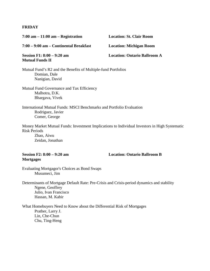#### **FRIDAY**

| $7:00$ am $-11:00$ am $-$ Registration                                                                     | <b>Location: St. Clair Room</b>     |
|------------------------------------------------------------------------------------------------------------|-------------------------------------|
| 7:00 – 9:00 am – Continental Breakfast                                                                     | <b>Location: Michigan Room</b>      |
| Session F1: 8:00 – 9:20 am<br><b>Mutual Funds II</b>                                                       | <b>Location: Ontario Ballroom A</b> |
| Mutual Fund's R2 and the Benefits of Multiple-fund Portfolios<br>Domian, Dale<br>Nanigian, David           |                                     |
| Mutual Fund Governance and Tax Efficiency<br>Malhotra, D.K.<br>Bhargava, Vivek                             |                                     |
| International Mutual Funds: MSCI Benchmarks and Portfolio Evaluation<br>Rodriguez, Javier<br>Comer, George |                                     |

Money Market Mutual Funds: Investment Implications to Individual Investors in High Systematic Risk Periods

Zhao, Aiwu Zeidan, Jonathan

### **Mortgages**

**Session F2: 8:00 – 9:20 am Location: Ontario Ballroom B**

Evaluating Mortgagor's Choices as Bond Swaps Musumeci, Jim

Determinants of Mortgage Default Rate: Pre-Crisis and Crisis-period dynamics and stability Ngene, Geoffrey Julio, Ivan Francisco Hassan, M. Kabir

What Homebuyers Need to Know about the Differential Risk of Mortgages Prather, Larry J. Lin, Che-Chun Chu, Ting-Heng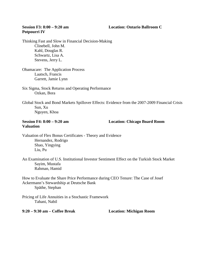#### **Session F3: 8:00 – 9:20 am Location: Ontario Ballroom C**

### **Potpourri IV**

Thinking Fast and Slow in Financial Decision-Making Clinebell, John M. Kahl, Douglas R. Schwartz, Lisa A. Stevens, Jerry L.

Obamacare: The Application Process Laatsch, Francis Garrett, Jamie Lynn

Six Sigma, Stock Returns and Operating Performance Ozkan, Bora

Global Stock and Bond Markets Spillover Effects: Evidence from the 2007-2009 Financial Crisis Sun, Xu Nguyen, Khoa

### **Valuation**

**Session F4: 8:00 – 9:20 am Location: Chicago Board Room**

Valuation of Flex Bonus Certificates - Theory and Evidence Hernandez, Rodrigo Shao, Yingying Liu, Pu

An Examination of U.S. Institutional Investor Sentiment Effect on the Turkish Stock Market Sayim, Mustafa Rahman, Hamid

How to Evaluate the Share Price Performance during CEO Tenure: The Case of Josef Ackermann's Stewardship at Deutsche Bank Späthe, Stephan

Pricing of Life Annuities in a Stochastic Framework Tahani, Nabil

**9:20 – 9:30 am – Coffee Break Location: Michigan Room**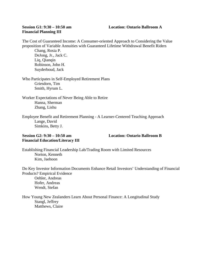### **Financial Planning III**

#### **Session G1: 9:30 – 10:50 am Location: Ontario Ballroom A**

The Cost of Guaranteed Income: A Consumer-oriented Approach to Considering the Value proposition of Variable Annuities with Guaranteed Lifetime Withdrawal Benefit Riders

Chang, Rosia P. DeJong, Jr., Jack C. Liq, Qianqin Robinson, John H. Suyderboud, Jack

Who Participates in Self-Employed Retirement Plans Griesdorn, Tim Smith, Hyrum L.

Worker Expectations of Never Being Able to Retire Hanna, Sherman Zhang, Lishu

Employee Benefit and Retirement Planning - A Learner-Centered Teaching Approach Lange, David Simkins, Betty J.

#### **Session G2: 9:30 – 10:50 am Location: Ontario Ballroom B Financial Education/Literacy III**

Establishing Financial Leadership Lab/Trading Room with Limited Resources Norton, Kenneth Kim, Jaehoon

Do Key Investor Information Documents Enhance Retail Investors' Understanding of Financial Products? Empirical Evidence Oehler, Andreas Hofer, Andreas Wendt, Stefan

How Young New Zealanders Learn About Personal Finance: A Longitudinal Study Stangl, Jeffrey Matthews, Claire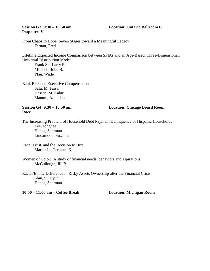### **Potpourri V**

#### **Session G3: 9:30 – 10:50 am Location: Ontario Ballroom C**

From Chaos to Hope: Seven Stages toward a Meaningful Legacy Fernatt, Fred

Lifetime Expected Income Comparison between SPIAs and an Age-Based, Three-Dimensional, Universal Distribution Model.

Frank Sr., Larry R. Mitchell, John B. Pfau, Wade

Bank Risk and Executive Compensation Safa, M. Faisal Hassan, M. Kabir Manum, Adbullah

**Race**

**Session G4: 9:30 – 10:50 am Location: Chicago Board Room**

The Increasing Problem of Household Debt Payment Delinquency of Hispanic Households Lee, Johghee Hanna, Sherman Lindamood, Suzanne

Race, Trust, and the Decision to Hire Martin Jr., Terrance K.

Women of Color: A study of financial needs, behaviors and aspirations. McCullough, Jill B.

Racial/Ethnic Difference in Risky Assets Ownership after the Financial Crisis Shin, Su Hyun Hanna, Sherman

**10:50 – 11:00 am – Coffee Break Location: Michigan Room**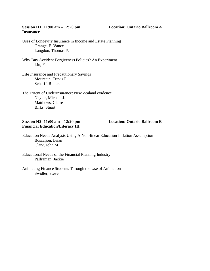#### **Session H1: 11:00 am – 12:20 pm Location: Ontario Ballroom A Insurance**

Uses of Longevity Insurance in Income and Estate Planning Grange, E. Vance Langdon, Thomas P.

Why Buy Accident Forgiveness Policies? An Experiment Liu, Fan

Life Insurance and Precautionary Savings Mountain, Travis P. Scharff, Robert

The Extent of Underinsurance: New Zealand evidence Naylor, Michael J. Matthews, Claire Birks, Stuart

#### **Session H2: 11:00 am – 12:20 pm Location: Ontario Ballroom B Financial Education/Literacy III**

Education Needs Analysis Using A Non-linear Education Inflation Assumption Boscaljon, Brian Clark, John M.

Educational Needs of the Financial Planning Industry Palframan, Jackie

Animating Finance Students Through the Use of Animation Swidler, Steve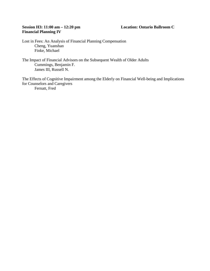#### **Session H3: 11:00 am – 12:20 pm Location: Ontario Ballroom C Financial Planning IV**

Lost in Fees: An Analysis of Financial Planning Compensation Cheng, Yuanshan Finke, Michael

The Impact of Financial Advisors on the Subsequent Wealth of Older Adults Cummings, Benjamin F. James III, Russell N.

The Effects of Cognitive Impairment among the Elderly on Financial Well-being and Implications for Counselors and Caregivers Fernatt, Fred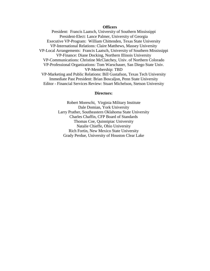#### **Officers**

President: Francis Laatsch, University of Southern Mississippi President-Elect: Lance Palmer, University of Georgia Executive VP-Program: William Chittenden, Texas State University VP-International Relations: Claire Matthews, Massey University VP-Local Arrangements: Francis Laatsch, University of Southern Mississippi VP-Finance: Diane Docking, Northern Illinois University VP-Communications: Christine McClatchey, Univ. of Northern Colorado VP-Professional Organizations: Tom Warschauer, San Diego State Univ. VP-Membership: TBD VP-Marketing and Public Relations: Bill Gustafson, Texas Tech University Immediate Past President: Brian Boscaljon, Penn State University Editor - Financial Services Review: Stuart Michelson, Stetson University

#### **Directors:**

Robert Moreschi, Virginia Military Institute Dale Domian, York University Larry Prather, Southeastern Oklahoma State University Charles Chaffin, CFP Board of Standards Thomas Coe, Quinnipiac University Natalie Chieffe, Ohio University Rich Fortin, New Mexico State University Grady Perdue, University of Houston Clear Lake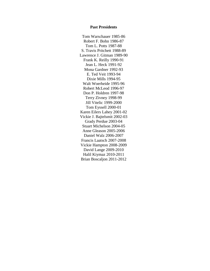#### **Past Presidents**

Tom Warschauer 1985-86 Robert F. Bohn 1986-87 Tom L. Potts 1987-88 S. Travis Pritchett 1988-89 Lawrence J. Gitman 1989-90 Frank K. Reilly 1990-91 Jean L. Heck 1991-92 Mona Gardner 1992-93 E. Ted Veit 1993-94 Dixie Mills 1994-95 Walt Woerheide 1995-96 Robert McLeod 1996-97 Don P. Holdren 1997-98 Terry Zivney 1998-99 Jill Vitelic 1999-2000 Tom Eyssell 2000-01 Karen Eilers Lahey 2001-02 Vickie J. Bajtelsmit 2002-03 Grady Perdue 2003-04 Stuart Michelson 2004-05 Anne Gleason 2005-2006 Daniel Walz 2006-2007 Francis Laatsch 2007-2008 Vickie Hampton 2008-2009 David Lange 2009-2010 Halil Kiymaz 2010-2011 Brian Boscaljon 2011-2012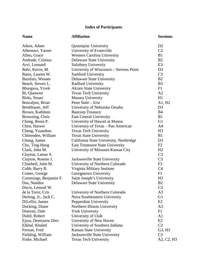### **Index of Participants**

| <b>Name</b>           | <b>Affiliation</b>                      | <b>Sessions</b> |
|-----------------------|-----------------------------------------|-----------------|
| Aiken, Adam           | Quinnipiac University                   | D2              |
| Alhenawi, Yasser      | University of Evansville                | C <sub>2</sub>  |
| Allen, Grace          | <b>Western Carolina University</b>      | B1              |
| Andrade, Cristina     | Delaware State University               | B <sub>2</sub>  |
| Arvi, Leonard         | Salisbury University                    | E <sub>3</sub>  |
| Bahr, Kevin, M.       | University of Wisconsin – Stevens Point | D <sub>3</sub>  |
| Bates, Lauren W.      | Samford University                      | C <sub>3</sub>  |
| Bazelais, Wesner      | <b>Delaware State University</b>        | B <sub>2</sub>  |
| Beach, Steven L.      | Radford University                      | B <sub>3</sub>  |
| Bhargava, Vivek       | <b>Alcorn State University</b>          | F1              |
| Bi, Qianwen           | <b>Texas Tech University</b>            | A2              |
| Birks, Stuart         | <b>Massey University</b>                | H1              |
| Boscaljon, Brian      | Penn State - Erie                       | A1, H2          |
| Bredthauer, Jeff      | University of Nebraska Omaha            | D <sub>3</sub>  |
| Brown, Kathleen       | <b>Bancorp Treasury</b>                 | <b>B4</b>       |
| Browning, Chris       | <b>East Central University</b>          | B1              |
| Chang, Rosia P.       | University of Hawaii at Manoa           | G <sub>1</sub>  |
| Chen, Haiwei          | University of Texas - Pan American      | A <sub>4</sub>  |
| Cheng, Yuanshan       | <b>Texas Tech University</b>            | H <sub>3</sub>  |
| Chittenden, William   | <b>Texas State University</b>           | B1              |
| Chong, James          | California State University, Northridge | D <sub>3</sub>  |
| Chu, Ting-Heng        | <b>East Tennessee State University</b>  | F2              |
| Clark, John M.        | University of Missouri-Kansas City      | H2              |
| Clayton, Lamar S.     |                                         | C <sub>3</sub>  |
| Clayton, Ronnie J.    | Jacksonville State University           | C <sub>3</sub>  |
| Clinebell, John M.    | University of Northern Colorado         | F <sub>3</sub>  |
| Cobb, Barry R.        | Virginia Military Institute             | C <sub>4</sub>  |
| Comer, George         | Georgetown University                   | F1              |
| Cummings, Benjamin F. | Saint Joseph's University               | H <sub>3</sub>  |
| Das, Nandita          | <b>Delaware State University</b>        | B <sub>2</sub>  |
| Davis, Lemuel W.      |                                         | C <sub>3</sub>  |
| de la Torre, Cris     | University of Northern Colorado         | A3              |
| DeJong, Jr., Jack C.  | Nova Southeastern University            | G <sub>1</sub>  |
| DiLellio, James       | Pepperdine University                   | E2              |
| Docking, Diane        | Northern Illinois University            | A <sub>3</sub>  |
| Domian, Dale          | <b>York University</b>                  | F1              |
| Dubil, Robert         | University of Utah                      | A <sub>1</sub>  |
| Ejara, Demissew Diro  | University of New Haven                 | E2              |
| Elkhal, Khaled        | University of Southern Indiana          | C <sub>2</sub>  |
| Fernatt, Fred         | Kansas State University                 | G3, H3          |
| Fielding, William     | Jacksonville State University           | C <sub>3</sub>  |
| Finke, Michael        | <b>Texas Tech University</b>            | A2, C2, H3      |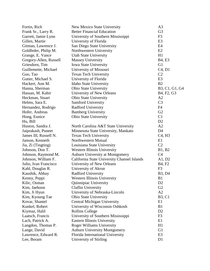| Fortin, Rich           | New Mexico State University                 | A3                                               |
|------------------------|---------------------------------------------|--------------------------------------------------|
| Frank Sr., Larry R.    | <b>Better Financial Education</b>           | G <sub>3</sub>                                   |
| Garrett, Jamie Lynn    | University of Southern Mississippi          | F <sub>3</sub>                                   |
| Gillen, Martie         | University of Florida                       | E <sub>3</sub>                                   |
| Gitman, Lawrence J.    | San Diego State University                  | E4                                               |
| Goldfeder, Philip M.   | Northwestern University                     | E2                                               |
| Grange, E. Vance       | <b>Utah State University</b>                | H1                                               |
| Gregory-Allen, Russell | <b>Massey University</b>                    | <b>B4, E3</b>                                    |
| Griesdorn, Tim         | <b>Iowa State University</b>                | G <sub>1</sub>                                   |
| Guillemette, Michael   | University of Missouri                      | C4, D1                                           |
| Guo, Tao               | <b>Texas Tech University</b>                | C <sub>2</sub>                                   |
| Gutter, Michael S.     | University of Florida                       | E <sub>3</sub>                                   |
| Hackert, Ann M.        | Idaho State University                      | B <sub>2</sub>                                   |
| Hanna, Sherman         | Ohio State University                       | B3, C1, G1, G4                                   |
| Hassan, M. Kabir       | University of New Orleans                   | B <sub>4</sub> , F <sub>2</sub> , G <sub>3</sub> |
| Heckman, Stuart        | <b>Ohio State University</b>                | A2                                               |
| Helms, Sara E.         | Samford University                          | C <sub>3</sub>                                   |
| Hernandez, Rodrigo     | Radford University                          | F4                                               |
| Hofer, Andreas         | <b>Bamberg University</b>                   | G2                                               |
| Hong, Eunice           | <b>Ohio State University</b>                | C1                                               |
| Hu, Bill               |                                             | D <sub>2</sub>                                   |
| Huston, Sandra J.      | North Carolina A&T State University         | A2                                               |
| Jaiprakash, Puneet     | Minnesota State University, Mankato         | D <sub>4</sub>                                   |
| James III, Russell N.  | <b>Texas Tech University</b>                | C <sub>4</sub> , H <sub>3</sub>                  |
| Janson, Kenneth        | Northwestern Mutual                         | E1                                               |
| Jia, Zi (Tingting)     | Louisiana State University                  | C <sub>2</sub>                                   |
| Johnson, Don T.        | <b>Western Illinois University</b>          | B1, B2                                           |
| Johnson, Raymond M.    | <b>Auburn University at Montgomery</b>      | C <sub>4</sub>                                   |
| Johnson, William F.    | California State University Channel Islands | A1, D2                                           |
| Julio, Ivan Francisco  | University of New Orleans                   | <b>B4, F2</b>                                    |
| Kahl, Douglas R.       | University of Akron                         | F <sub>3</sub>                                   |
| Kaushik, Abhay         | Radford University                          | B <sub>3</sub> , D <sub>4</sub>                  |
| Kenny, Peppi           | Western Illinois University                 | B1                                               |
| Kilic, Osman           | Quinnipiac University                       | D <sub>2</sub>                                   |
| Kim, Jaehoon           | <b>Claflin University</b>                   | G2                                               |
| Kim, Ji Hyun           | University of Nebraska-Lincoln              | A2                                               |
| Kim, Kyoung Tae        | <b>Ohio State University</b>                | <b>B</b> 3, C <sub>1</sub>                       |
| Kovar, Shantel         | <b>Central Michigan University</b>          | E1                                               |
| Kunkel, Robert         | University of Wisconsin Oshkosh             | B1                                               |
| Kiymaz, Halil          | <b>Rollins College</b>                      | D <sub>2</sub>                                   |
| Laatsch, Francis       | University of Southern Mississippi          | F <sub>3</sub>                                   |
| Lach, Patrick A.       | Eastern Illinois University                 | E1                                               |
| Langdon, Thomas P.     | <b>Roger Williams University</b>            | H1                                               |
| Lange, David           | <b>Auburn University Montgomery</b>         | G <sub>1</sub>                                   |
| Lawrence, Edward R.    | Florida International University            | E <sub>3</sub>                                   |
| Lee, Boram             | University of Stirling                      | D1                                               |
|                        |                                             |                                                  |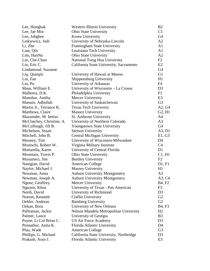| Lee, Hongbok              | <b>Western Illinois University</b>      | B <sub>2</sub>                  |
|---------------------------|-----------------------------------------|---------------------------------|
| Lee, Jae Min              | <b>Ohio State University</b>            | C1                              |
| Lee, Johghee              | Korea University                        | G <sub>4</sub>                  |
| Letkiewicz, Jodi          | University of Nebraska-Lincoln          | A2                              |
| Li, Zhe                   | Framingham State University             | A <sub>1</sub>                  |
| Lian, Qin                 | Louisiana Tech University               | A1                              |
| Lim, HanNa                | Ohio State University`                  | A2                              |
| Lin, Che-Chun             | National Tsing Hua University           | F2                              |
| Lin, Eric C.              | California State University, Sacramento | E2                              |
| Lindamood, Suzanne        |                                         | G <sub>4</sub>                  |
| Liq, Qianqin              | University of Hawaii at Manoa           | G <sub>1</sub>                  |
| Liu, Fan                  | Shippensburg University                 | H1                              |
| Liu, Pu                   | University of Arkansas                  | F4                              |
| Maas, William E.          | University of Wisconsin - La Crosse     | D <sub>3</sub>                  |
| Malhotra, D.K.            | Philadelphia University                 | F1                              |
| Manohar, Anitha           | Mercer University                       | E <sub>3</sub>                  |
| Manum, Adbullah           | University of Saskatchewan              | G <sub>3</sub>                  |
| Martin Jr., Terrance K.   | <b>Texas Tech University</b>            | A2, G4                          |
| Matthews, Claire          | <b>Massey University</b>                | G <sub>2</sub> , H <sub>1</sub> |
| Mazumder, M. Imtiaz       | St. Ambrose University                  | A <sub>4</sub>                  |
| McClatchey, Christine, A. | University of Northern Colorado         | A <sub>3</sub>                  |
| McCullough, Jill B.       | <b>Youngstown State University</b>      | G4                              |
| Michelson, Stuart         | <b>Stetson University</b>               | A3, D1                          |
| Mitchell, John B.         | Central Michigan University             | E1, G3                          |
| Mooney, Tim               | University of Wisconsin-Milwaukee       | D <sub>4</sub>                  |
| Moreschi, Robert W.       | Virginia Military Institute             | C <sub>4</sub>                  |
| Mottarella, Karen         | University of Central Florida           | D <sub>1</sub>                  |
| Mountain, Travis P.       | <b>Ohio State University</b>            | C1, H1                          |
| Musumeci, Jim             | <b>Bentley University</b>               | F2                              |
| Nanigian, David           | <b>American College</b>                 | D1, F1                          |
| Naylor, Michael J.        | <b>Massey University</b>                | H1                              |
| Newman, Anna              | <b>Auburn University Montgomery</b>     | A <sub>3</sub>                  |
| Newman, Joseph A.         | <b>Auburn University Montgomery</b>     | A3, C4                          |
| Ngene, Geoffrey           | Mercer University                       | <b>B4, F2</b>                   |
| Nguyen, Khoa              | University of Texas - Pan American      | F3                              |
| North, David              | University of Richmond                  | D <sub>3</sub>                  |
| Norton, Kenneth           | Claflin University                      | G2                              |
| Oehler, Andreas           | <b>Bamberg University</b>               | G2                              |
| Ozkan, Bora               | University of New Orleans               | B <sub>4</sub> , F <sub>3</sub> |
| Palframan, Jackie         | Nelson Mandela Metropolitan University  | H2                              |
| Palmer, Lance             | University of Georgia                   | B <sub>3</sub>                  |
| Payne, Lt Col Brian C.    | US Air Force Academy                    | D <sub>3</sub>                  |
| Pennathur, Anita K.       | Florida Atlantic University             | D <sub>4</sub>                  |
| Pfau, Wade                | <b>American College</b>                 | G <sub>3</sub>                  |
| Phillips, G. Michael      | California State University, Northridge | D <sub>3</sub>                  |
| Prakash, Arun J.          | Florida Atlantic University             | E <sub>3</sub>                  |